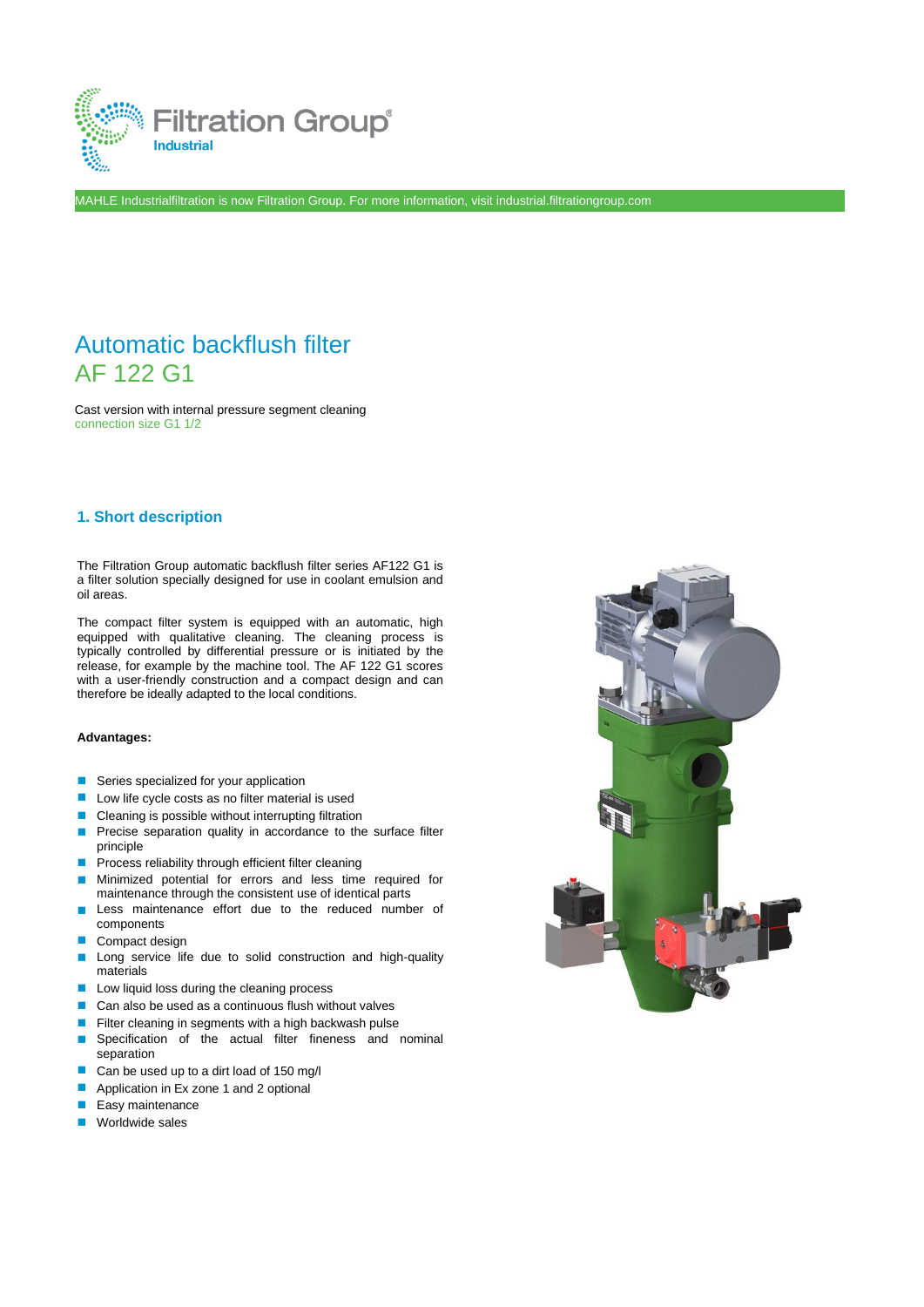

MAHLE Industrialfiltration is now Filtration Group. For more information, visit industrial.filtrationgroup.com

# Automatic backflush filter AF 122 G1

Cast version with internal pressure segment cleaning connection size G1 1/2

## **1. Short description**

The Filtration Group automatic backflush filter series AF122 G1 is a filter solution specially designed for use in coolant emulsion and oil areas.

The compact filter system is equipped with an automatic, high equipped with qualitative cleaning. The cleaning process is typically controlled by differential pressure or is initiated by the release, for example by the machine tool. The AF 122 G1 scores with a user-friendly construction and a compact design and can therefore be ideally adapted to the local conditions.

#### **Advantages:**

- Series specialized for your application
- Low life cycle costs as no filter material is used
- Cleaning is possible without interrupting filtration
- Precise separation quality in accordance to the surface filter principle
- Process reliability through efficient filter cleaning
- Minimized potential for errors and less time required for maintenance through the consistent use of identical parts
- Less maintenance effort due to the reduced number of components
- Compact design
- Long service life due to solid construction and high-quality materials
- Low liquid loss during the cleaning process
- Can also be used as a continuous flush without valves
- Filter cleaning in segments with a high backwash pulse
- Specification of the actual filter fineness and nominal separation
- Can be used up to a dirt load of 150 mg/l
- Application in Ex zone 1 and 2 optional
- Easy maintenance
- Worldwide sales

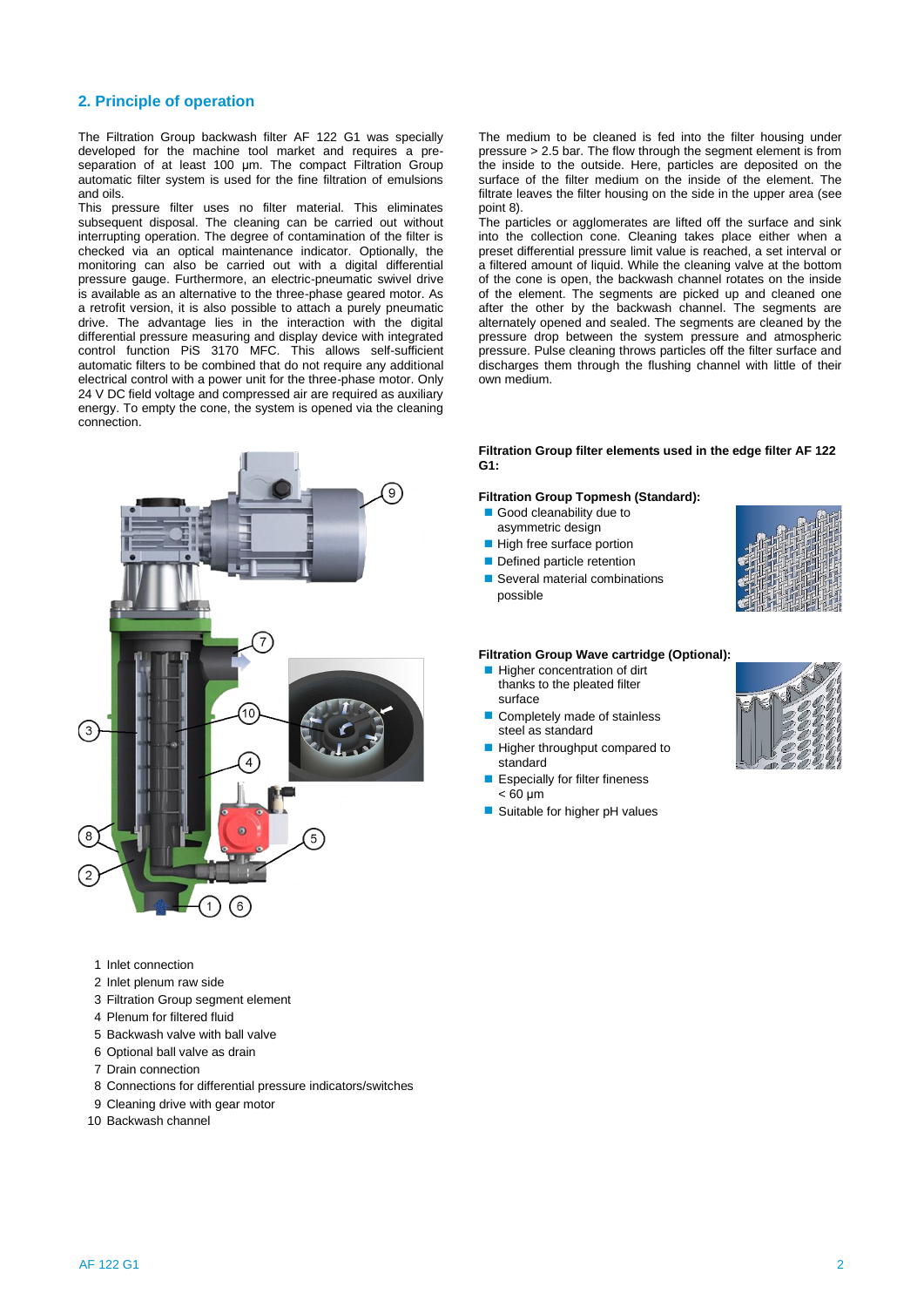## **2. Principle of operation**

The Filtration Group backwash filter AF 122 G1 was specially developed for the machine tool market and requires a preseparation of at least 100 μm. The compact Filtration Group automatic filter system is used for the fine filtration of emulsions and oils.

This pressure filter uses no filter material. This eliminates subsequent disposal. The cleaning can be carried out without interrupting operation. The degree of contamination of the filter is checked via an optical maintenance indicator. Optionally, the monitoring can also be carried out with a digital differential pressure gauge. Furthermore, an electric-pneumatic swivel drive is available as an alternative to the three-phase geared motor. As a retrofit version, it is also possible to attach a purely pneumatic drive. The advantage lies in the interaction with the digital differential pressure measuring and display device with integrated control function PiS 3170 MFC. This allows self-sufficient automatic filters to be combined that do not require any additional electrical control with a power unit for the three-phase motor. Only 24 V DC field voltage and compressed air are required as auxiliary energy. To empty the cone, the system is opened via the cleaning connection.



- 1 Inlet connection
- 2 Inlet plenum raw side
- 3 Filtration Group segment element
- 4 Plenum for filtered fluid
- 5 Backwash valve with ball valve
- 6 Optional ball valve as drain
- 7 Drain connection
- 8 Connections for differential pressure indicators/switches
- 9 Cleaning drive with gear motor
- 10 Backwash channel

The medium to be cleaned is fed into the filter housing under pressure > 2.5 bar. The flow through the segment element is from the inside to the outside. Here, particles are deposited on the surface of the filter medium on the inside of the element. The filtrate leaves the filter housing on the side in the upper area (see point 8).

The particles or agglomerates are lifted off the surface and sink into the collection cone. Cleaning takes place either when a preset differential pressure limit value is reached, a set interval or a filtered amount of liquid. While the cleaning valve at the bottom of the cone is open, the backwash channel rotates on the inside of the element. The segments are picked up and cleaned one after the other by the backwash channel. The segments are alternately opened and sealed. The segments are cleaned by the pressure drop between the system pressure and atmospheric pressure. Pulse cleaning throws particles off the filter surface and discharges them through the flushing channel with little of their own medium.

## **Filtration Group filter elements used in the edge filter AF 122 G1:**

## **Filtration Group Topmesh (Standard):**

- Good cleanability due to asymmetric design
- High free surface portion
- Defined particle retention
- 
- Several material combinations possible



#### **Filtration Group Wave cartridge (Optional):**

- Higher concentration of dirt thanks to the pleated filter surface
- Completely made of stainless steel as standard
- Higher throughput compared to standard
- Especially for filter fineness  $<$  60 μm
- Suitable for higher pH values

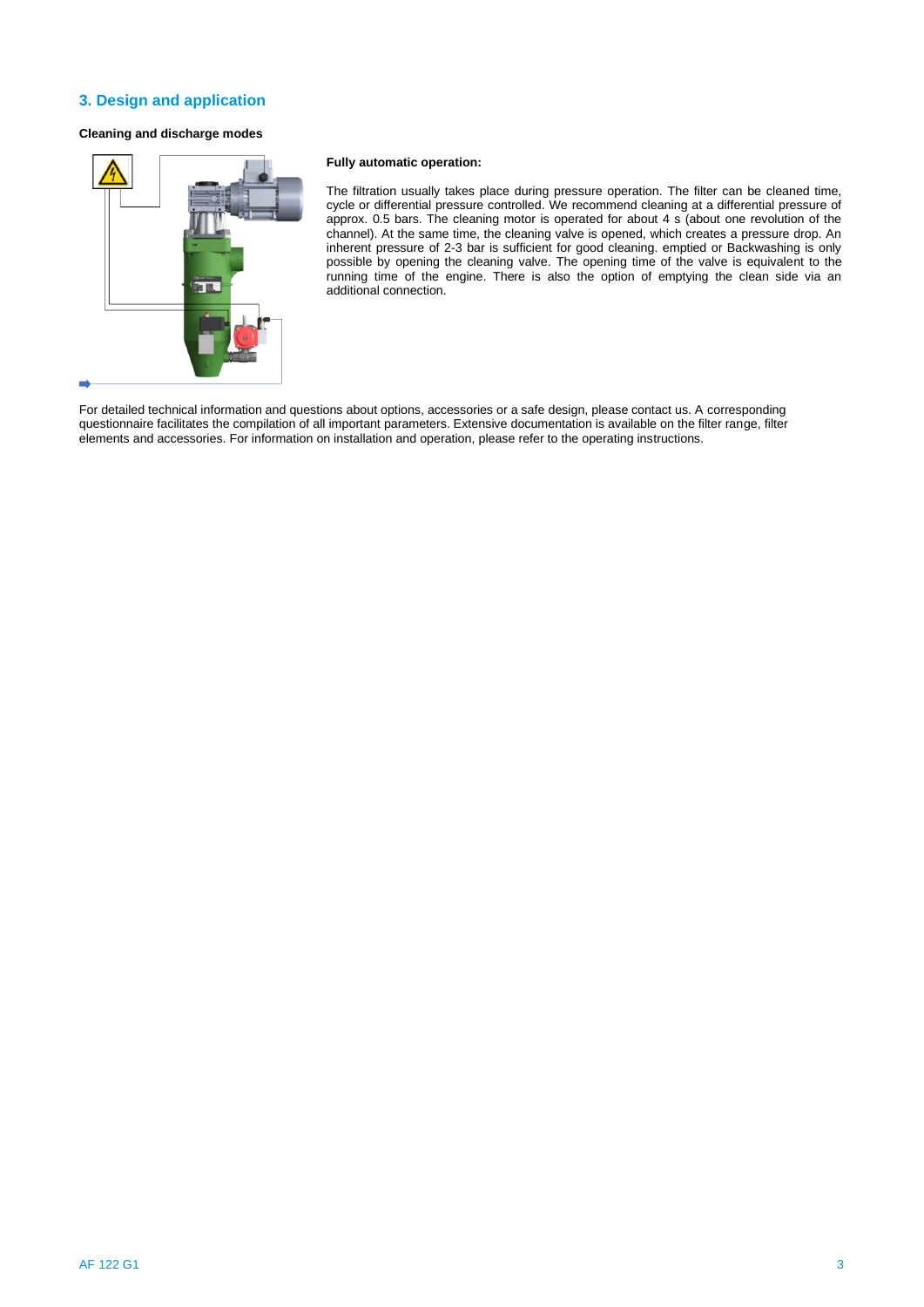## **3. Design and application**

## **Cleaning and discharge modes**



## **Fully automatic operation:**

The filtration usually takes place during pressure operation. The filter can be cleaned time, cycle or differential pressure controlled. We recommend cleaning at a differential pressure of approx. 0.5 bars. The cleaning motor is operated for about 4 s (about one revolution of the channel). At the same time, the cleaning valve is opened, which creates a pressure drop. An inherent pressure of 2-3 bar is sufficient for good cleaning. emptied or Backwashing is only possible by opening the cleaning valve. The opening time of the valve is equivalent to the running time of the engine. There is also the option of emptying the clean side via an additional connection.

For detailed technical information and questions about options, accessories or a safe design, please contact us. A corresponding questionnaire facilitates the compilation of all important parameters. Extensive documentation is available on the filter range, filter elements and accessories. For information on installation and operation, please refer to the operating instructions.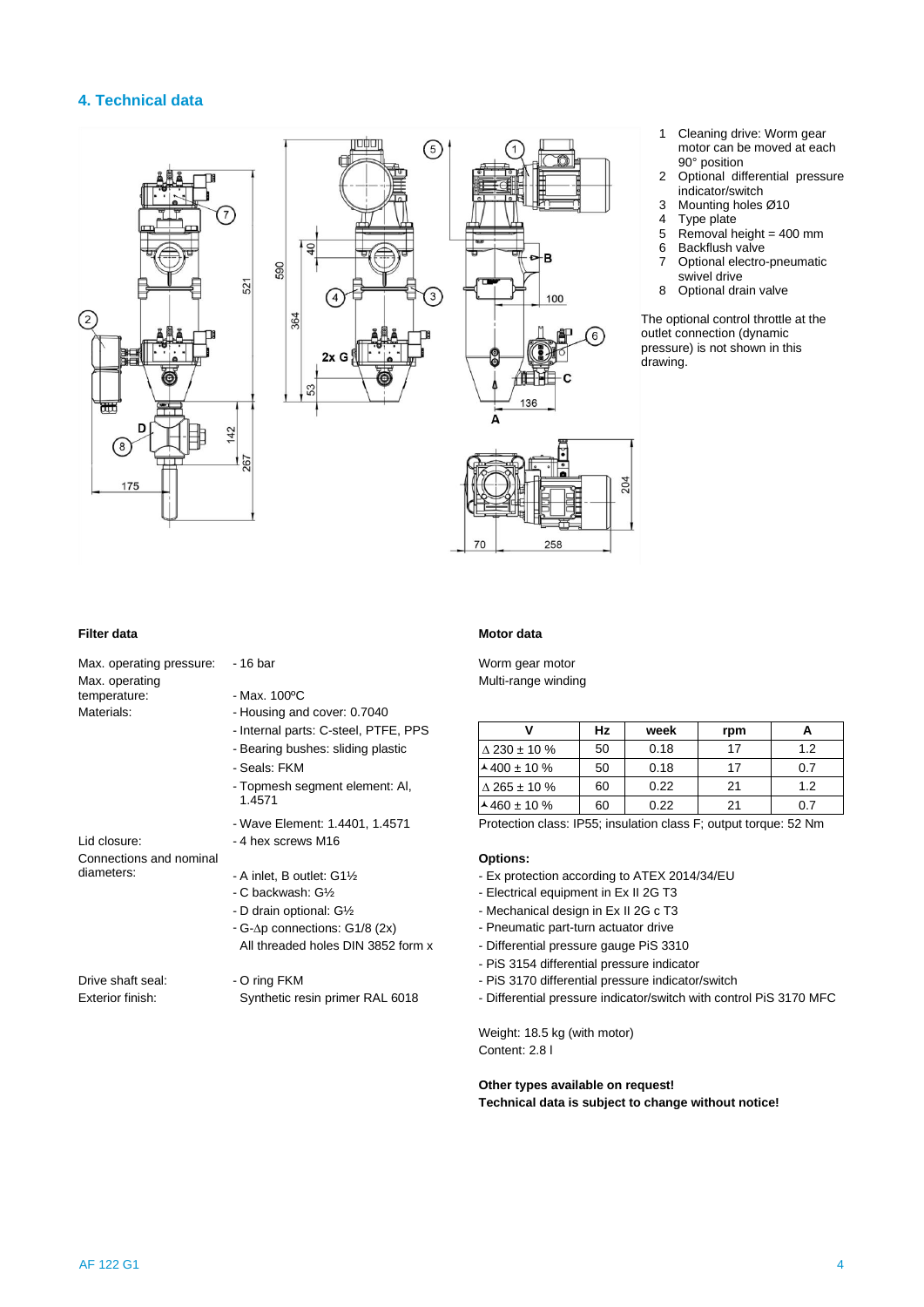## **4. Technical data**





- 1 Cleaning drive: Worm gear motor can be moved at each 90° position
- 2 Optional differential pressure indicator/switch
- 3 Mounting holes Ø10<br>4 Type plate
- 
- 4 Type plate<br>5 Removal h
- $5$  Removal height = 400 mm<br>6 Backflush valve 6 Backflush valve<br>7 Optional electro
- 7 Optional electro-pneumatic swivel drive
- 8 Optional drain valve

The optional control throttle at the outlet connection (dynamic pressure) is not shown in this drawing.

### **Filter data Motor data**

| Max. operating pressure: -16 bar                      |                                                                                                                                                                                      |
|-------------------------------------------------------|--------------------------------------------------------------------------------------------------------------------------------------------------------------------------------------|
| Max. operating<br>temperature:<br>Materials:          | - Max. 100°C<br>- Housing and cover: 0.7040<br>- Internal parts: C-steel, PTFE, PPS<br>- Bearing bushes: sliding plastic<br>- Seals: FKM<br>- Topmesh segment element: AI,<br>1.4571 |
| Lid closure:<br>Connections and nominal<br>diameters: | - Wave Element: 1.4401, 1.4571<br>- 4 hex screws M16<br>- A inlet, B outlet: G11/2<br>- C backwash: G1/ <sub>2</sub>                                                                 |
|                                                       | - D drain optional: G1/2<br>- G-Δp connections: G1/8 (2x)<br>All threaded holes DIN 3852 form                                                                                        |
| Drive shaft seal:<br>Exterior finish:                 | - O ring FKM<br>Synthetic resin primer RAL 6018                                                                                                                                      |

Worm gear motor Multi-range winding

| - Internal parts: C-steel, PTFE, PPS |                        | Hz | week | rpm | A   |
|--------------------------------------|------------------------|----|------|-----|-----|
| - Bearing bushes: sliding plastic    | $\triangle$ 230 ± 10 % | 50 | 0.18 |     | 1.2 |
| - Seals: FKM                         | $400 \pm 10 \%$        | 50 | 0.18 |     | 0.7 |
| - Topmesh segment element: Al,       | $\triangle$ 265 ± 10 % | 60 | 0.22 | 21  | 1.2 |
| 1.4571                               | $\lambda$ 460 ± 10 %   | 60 | 0.22 | 21  | 0.7 |

Protection class: IP55; insulation class F; output torque: 52 Nm

## **Options:**

- Ex protection according to ATEX 2014/34/EU
- Electrical equipment in Ex II 2G T3
- Mechanical design in Ex II 2G c T3
- Pneumatic part-turn actuator drive
- x Differential pressure gauge PiS 3310
	- PiS 3154 differential pressure indicator
	- PiS 3170 differential pressure indicator/switch
	- Differential pressure indicator/switch with control PiS 3170 MFC

Weight: 18.5 kg (with motor) Content: 2.8 l

### **Other types available on request! Technical data is subject to change without notice!**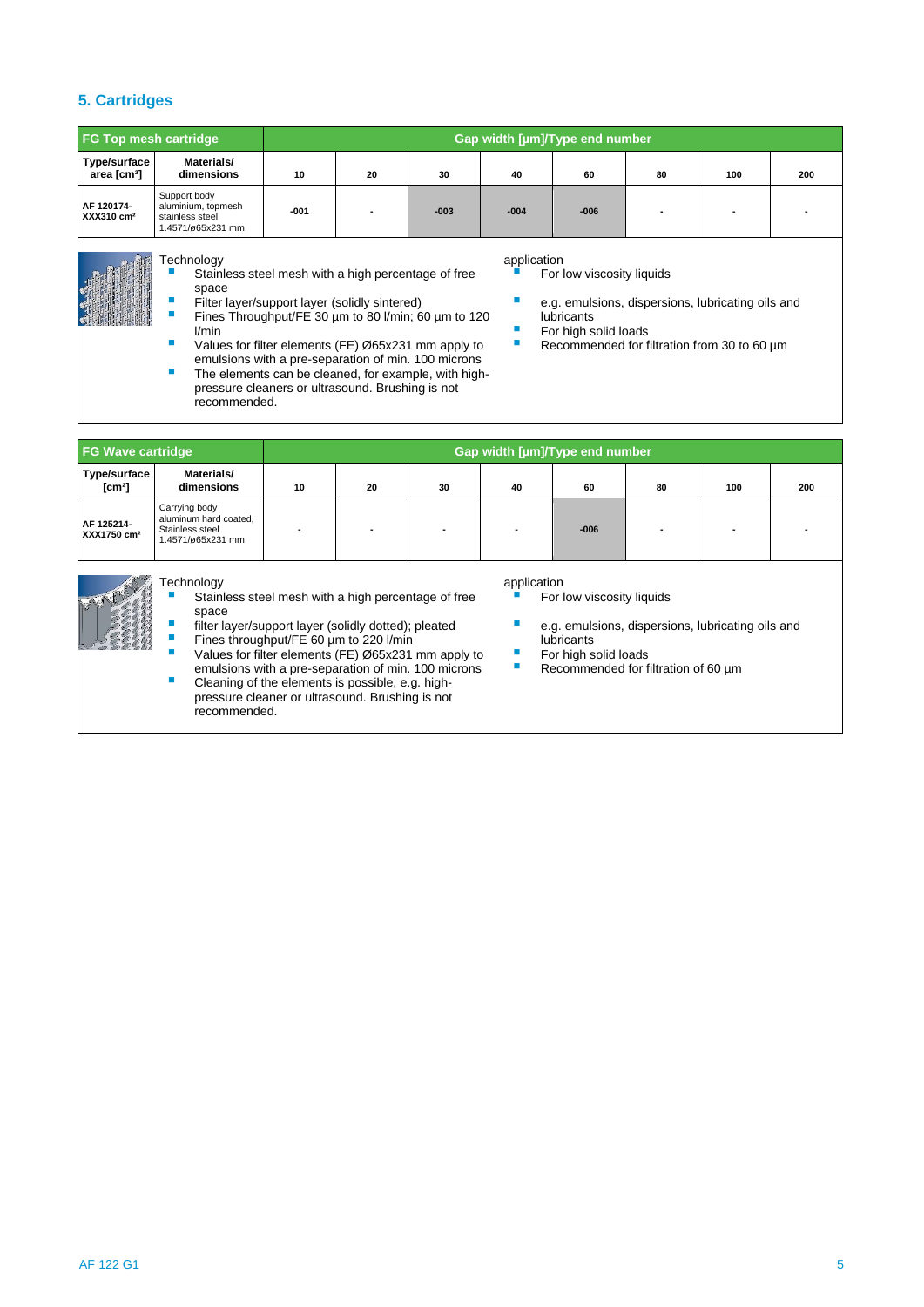## **5. Cartridges**

| <b>FG Top mesh cartridge</b>            |                                                                            | Gap width [µm]/Type end number |    |        |        |        |    |     |     |
|-----------------------------------------|----------------------------------------------------------------------------|--------------------------------|----|--------|--------|--------|----|-----|-----|
| Type/surface<br>area [cm <sup>2</sup> ] | Materials/<br>dimensions                                                   | 10                             | 20 | 30     | 40     | 60     | 80 | 100 | 200 |
| AF 120174-<br>$XXX310 \text{ cm}^2$     | Support body<br>aluminium, topmesh<br>stainless steel<br>1.4571/ø65x231 mm | $-001$                         |    | $-003$ | $-004$ | $-006$ |    |     |     |

## Technology application application

- Stainless steel mesh with a high percentage of free space
- 
- Fines Throughput/FE 30 µm to 80 l/min; 60 µm to 120 lubricants l/min **kan all and the solid loads area high solid loads For high solid loads**
- Values for filter elements (FE) Ø65x231 mm apply to emulsions with a pre-separation of min. 100 microns
- The elements can be cleaned, for example, with highpressure cleaners or ultrasound. Brushing is not recommended.

emulsions with a pre-separation of min. 100 microns

■ Cleaning of the elements is possible, e.g. highpressure cleaner or ultrasound. Brushing is not

recommended.

- For low viscosity liquids
- Filter layer/support layer (solidly sintered) e.g. emulsions, dispersions, lubricating oils and
	-
	- Recommended for filtration from 30 to 60 µm

| <b>FG Wave cartridge</b>              |                                                                                |    |                                                                                                                                                       |                                                     | Gap width [µm]/Type end number |                                                                                                                      |    |     |     |  |
|---------------------------------------|--------------------------------------------------------------------------------|----|-------------------------------------------------------------------------------------------------------------------------------------------------------|-----------------------------------------------------|--------------------------------|----------------------------------------------------------------------------------------------------------------------|----|-----|-----|--|
| Type/surface<br>$\mathsf{[cm^2]}$     | Materials/<br>dimensions                                                       | 10 | 20                                                                                                                                                    | 30                                                  | 40                             | 60                                                                                                                   | 80 | 100 | 200 |  |
| AF 125214-<br>XXX1750 cm <sup>2</sup> | Carrying body<br>aluminum hard coated.<br>Stainless steel<br>1.4571/ø65x231 mm |    |                                                                                                                                                       |                                                     |                                | $-006$                                                                                                               |    |     |     |  |
|                                       | <i><b>Fechnology</b></i><br>space                                              |    | Stainless steel mesh with a high percentage of free<br>filter layer/support layer (solidly dotted); pleated<br>Fines throughput/FE 60 um to 220 I/min | Values for filter elements (FE) Ø65x231 mm apply to | application                    | For low viscosity liquids<br>e.g. emulsions, dispersions, lubricating oils and<br>lubricants<br>For high solid loads |    |     |     |  |

■ Recommended for filtration of 60 µm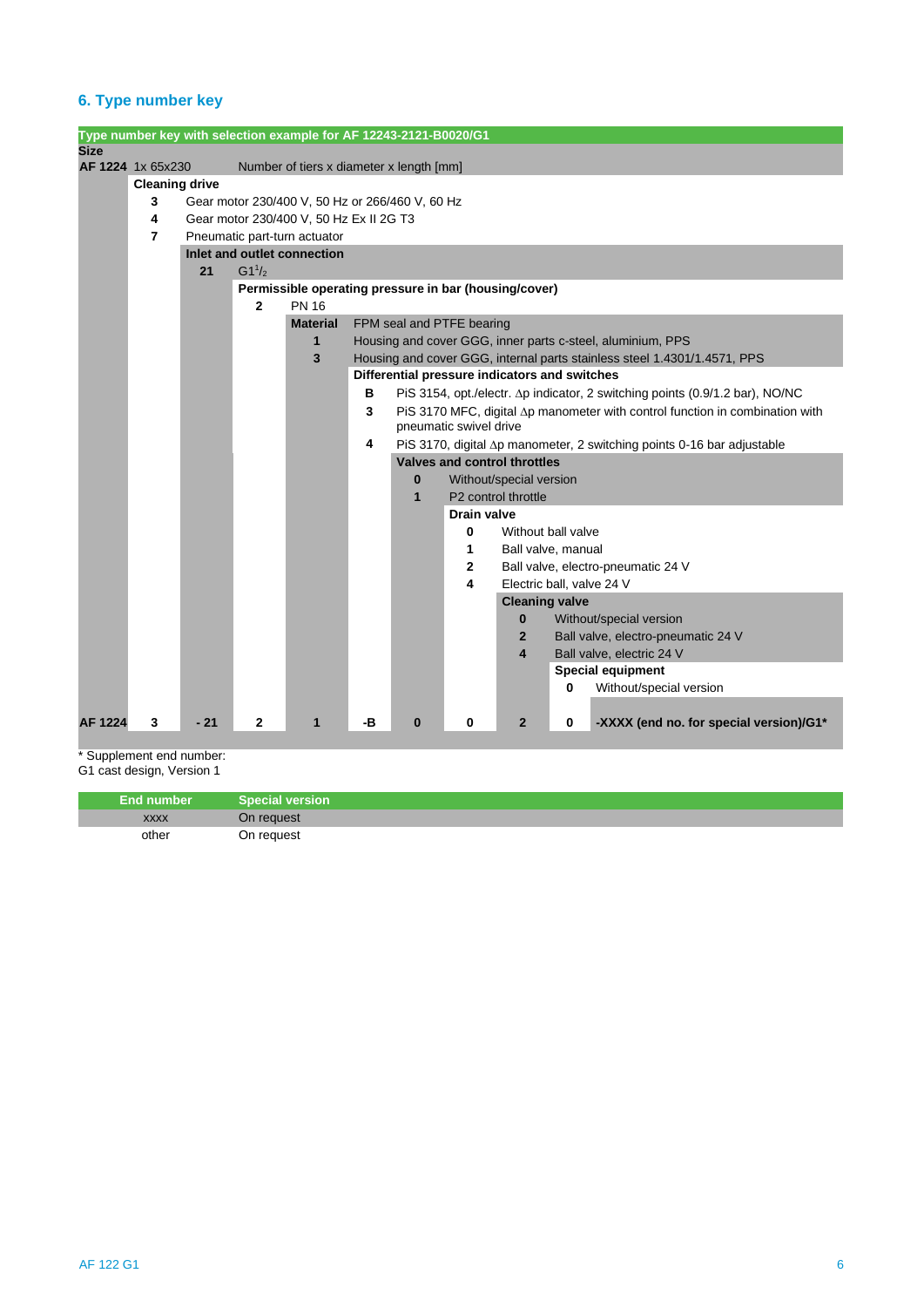## **6. Type number key**

|                |                       |       |              | Type number key with selection example for AF 12243-2121-B0020/G1 |    |                                                 |                                     |                           |   |                                                                              |  |  |
|----------------|-----------------------|-------|--------------|-------------------------------------------------------------------|----|-------------------------------------------------|-------------------------------------|---------------------------|---|------------------------------------------------------------------------------|--|--|
| <b>Size</b>    |                       |       |              |                                                                   |    |                                                 |                                     |                           |   |                                                                              |  |  |
|                | AF 1224 1x 65x230     |       |              | Number of tiers x diameter x length [mm]                          |    |                                                 |                                     |                           |   |                                                                              |  |  |
|                | <b>Cleaning drive</b> |       |              |                                                                   |    |                                                 |                                     |                           |   |                                                                              |  |  |
|                | 3                     |       |              | Gear motor 230/400 V, 50 Hz or 266/460 V, 60 Hz                   |    |                                                 |                                     |                           |   |                                                                              |  |  |
|                | 4                     |       |              | Gear motor 230/400 V, 50 Hz Ex II 2G T3                           |    |                                                 |                                     |                           |   |                                                                              |  |  |
|                | 7                     |       |              | Pneumatic part-turn actuator                                      |    |                                                 |                                     |                           |   |                                                                              |  |  |
|                |                       |       |              | Inlet and outlet connection                                       |    |                                                 |                                     |                           |   |                                                                              |  |  |
|                |                       | 21    | $G1^{1/2}$   |                                                                   |    |                                                 |                                     |                           |   |                                                                              |  |  |
|                |                       |       |              | Permissible operating pressure in bar (housing/cover)             |    |                                                 |                                     |                           |   |                                                                              |  |  |
|                |                       |       | $\mathbf{2}$ | <b>PN 16</b>                                                      |    |                                                 |                                     |                           |   |                                                                              |  |  |
|                |                       |       |              | <b>Material</b>                                                   |    | FPM seal and PTFE bearing                       |                                     |                           |   |                                                                              |  |  |
|                |                       |       |              | 1                                                                 |    |                                                 |                                     |                           |   | Housing and cover GGG, inner parts c-steel, aluminium, PPS                   |  |  |
|                |                       |       |              | 3                                                                 |    |                                                 |                                     |                           |   | Housing and cover GGG, internal parts stainless steel 1.4301/1.4571, PPS     |  |  |
|                |                       |       |              |                                                                   |    | Differential pressure indicators and switches   |                                     |                           |   |                                                                              |  |  |
|                |                       |       |              |                                                                   | в  |                                                 |                                     |                           |   | PiS 3154, opt./electr. Δp indicator, 2 switching points (0.9/1.2 bar), NO/NC |  |  |
|                |                       |       |              |                                                                   | 3  |                                                 |                                     |                           |   | PiS 3170 MFC, digital ∆p manometer with control function in combination with |  |  |
|                |                       |       |              |                                                                   |    |                                                 | pneumatic swivel drive              |                           |   |                                                                              |  |  |
|                |                       |       |              |                                                                   | 4  |                                                 |                                     |                           |   | PiS 3170, digital ∆p manometer, 2 switching points 0-16 bar adjustable       |  |  |
|                |                       |       |              |                                                                   |    |                                                 | <b>Valves and control throttles</b> |                           |   |                                                                              |  |  |
|                |                       |       |              |                                                                   |    | $\bf{0}$                                        |                                     | Without/special version   |   |                                                                              |  |  |
|                |                       |       |              |                                                                   |    | $\mathbf{1}$<br>P <sub>2</sub> control throttle |                                     |                           |   |                                                                              |  |  |
|                |                       |       |              |                                                                   |    |                                                 | <b>Drain valve</b>                  |                           |   |                                                                              |  |  |
|                |                       |       |              |                                                                   |    |                                                 | 0                                   | Without hall valve        |   |                                                                              |  |  |
|                |                       |       |              |                                                                   |    |                                                 | 1                                   | Ball valve, manual        |   |                                                                              |  |  |
|                |                       |       |              |                                                                   |    |                                                 | $\mathbf{2}$                        |                           |   | Ball valve, electro-pneumatic 24 V                                           |  |  |
|                |                       |       |              |                                                                   |    |                                                 | 4                                   | Electric ball, valve 24 V |   |                                                                              |  |  |
|                |                       |       |              |                                                                   |    |                                                 |                                     | <b>Cleaning valve</b>     |   |                                                                              |  |  |
|                |                       |       |              |                                                                   |    |                                                 |                                     | $\mathbf{0}$              |   | Without/special version                                                      |  |  |
|                |                       |       |              |                                                                   |    |                                                 |                                     | $\mathbf{2}$              |   | Ball valve, electro-pneumatic 24 V                                           |  |  |
|                |                       |       |              |                                                                   |    |                                                 |                                     | $\overline{\mathbf{4}}$   |   | Ball valve, electric 24 V                                                    |  |  |
|                |                       |       |              |                                                                   |    |                                                 |                                     |                           |   | <b>Special equipment</b>                                                     |  |  |
|                |                       |       |              |                                                                   |    |                                                 |                                     |                           | 0 | Without/special version                                                      |  |  |
|                |                       |       |              |                                                                   |    |                                                 |                                     |                           |   |                                                                              |  |  |
| <b>AF 1224</b> | 3                     | $-21$ | $\mathbf{2}$ | 1                                                                 | -В | 0                                               | 0                                   | $\overline{2}$            | 0 | -XXXX (end no. for special version)/G1*                                      |  |  |

\* Supplement end number:

G1 cast design, Version 1

| <b>End number</b> | <b>Special version</b> |
|-------------------|------------------------|
| <b>XXXX</b>       | On request             |
| other             | On reauest             |